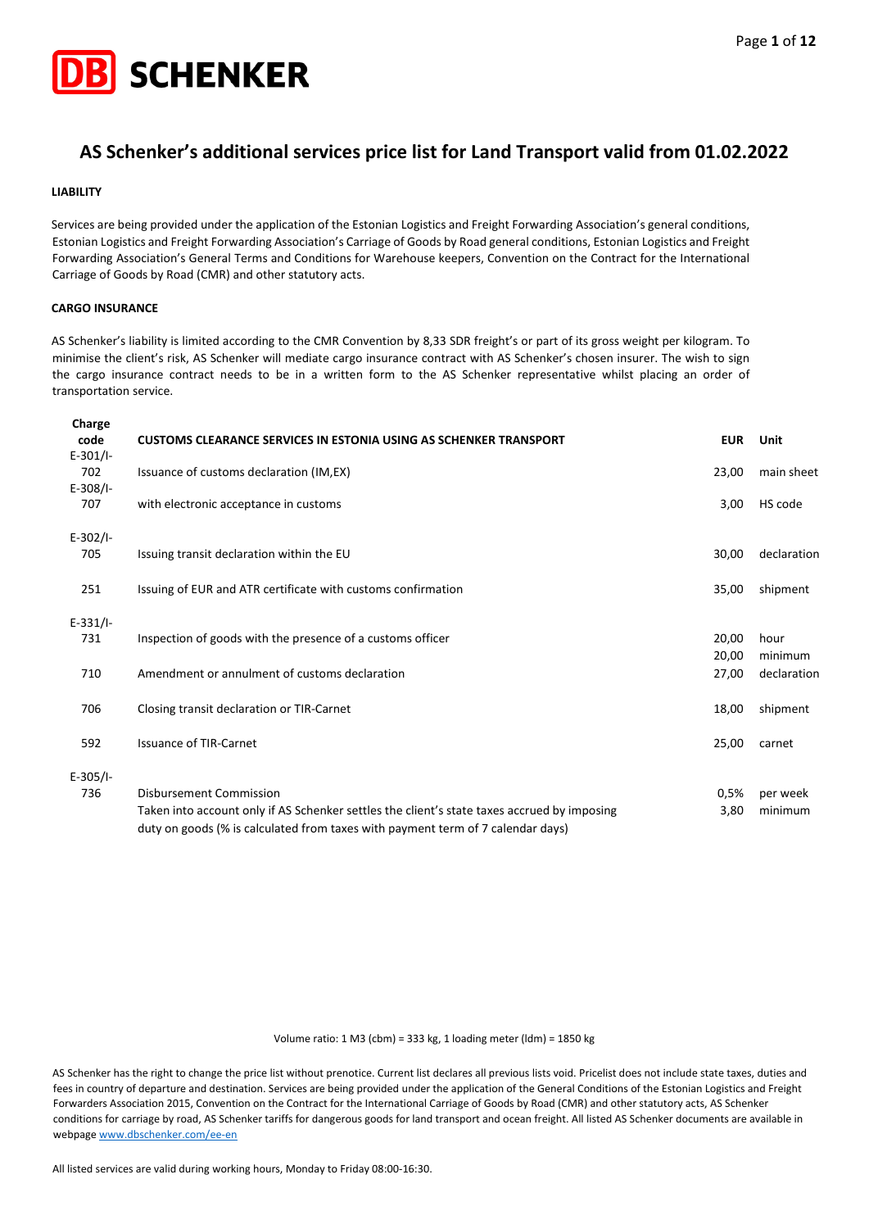

## **AS Schenker's additional services price list for Land Transport valid from 01.02.2022**

#### **LIABILITY**

Services are being provided under the application of the Estonian Logistics and Freight Forwarding Association's general conditions, Estonian Logistics and Freight Forwarding Association's Carriage of Goods by Road general conditions, Estonian Logistics and Freight Forwarding Association's General Terms and Conditions for Warehouse keepers, Convention on the Contract for the International Carriage of Goods by Road (CMR) and other statutory acts.

#### **CARGO INSURANCE**

AS Schenker's liability is limited according to the CMR Convention by 8,33 SDR freight's or part of its gross weight per kilogram. To minimise the client's risk, AS Schenker will mediate cargo insurance contract with AS Schenker's chosen insurer. The wish to sign the cargo insurance contract needs to be in a written form to the AS Schenker representative whilst placing an order of transportation service.

| Charge<br>code<br>$E-301/1-$ | <b>CUSTOMS CLEARANCE SERVICES IN ESTONIA USING AS SCHENKER TRANSPORT</b>                                                                                                       | <b>EUR</b> | Unit        |
|------------------------------|--------------------------------------------------------------------------------------------------------------------------------------------------------------------------------|------------|-------------|
| 702<br>$E-308/1-$            | Issuance of customs declaration (IM, EX)                                                                                                                                       | 23,00      | main sheet  |
| 707                          | with electronic acceptance in customs                                                                                                                                          | 3,00       | HS code     |
| $E-302/1-$                   |                                                                                                                                                                                |            |             |
| 705                          | Issuing transit declaration within the EU                                                                                                                                      | 30,00      | declaration |
| 251                          | Issuing of EUR and ATR certificate with customs confirmation                                                                                                                   | 35,00      | shipment    |
| $E-331/I-$                   |                                                                                                                                                                                |            |             |
| 731                          | Inspection of goods with the presence of a customs officer                                                                                                                     | 20,00      | hour        |
|                              |                                                                                                                                                                                | 20,00      | minimum     |
| 710                          | Amendment or annulment of customs declaration                                                                                                                                  | 27,00      | declaration |
| 706                          | Closing transit declaration or TIR-Carnet                                                                                                                                      | 18,00      | shipment    |
| 592                          | <b>Issuance of TIR-Carnet</b>                                                                                                                                                  | 25,00      | carnet      |
| $E-305/1-$                   |                                                                                                                                                                                |            |             |
| 736                          | Disbursement Commission                                                                                                                                                        | 0,5%       | per week    |
|                              | Taken into account only if AS Schenker settles the client's state taxes accrued by imposing<br>duty on goods (% is calculated from taxes with payment term of 7 calendar days) | 3,80       | minimum     |

Volume ratio: 1 M3 (cbm) = 333 kg, 1 loading meter (ldm) = 1850 kg

AS Schenker has the right to change the price list without prenotice. Current list declares all previous lists void. Pricelist does not include state taxes, duties and fees in country of departure and destination. Services are being provided under the application of the General Conditions of the Estonian Logistics and Freight Forwarders Association 2015, Convention on the Contract for the International Carriage of Goods by Road (CMR) and other statutory acts, AS Schenker conditions for carriage by road, AS Schenker tariffs for dangerous goods for land transport and ocean freight. All listed AS Schenker documents are available in webpag[e www.dbschenker.com/ee-en](http://www.dbschenker.com/ee-en)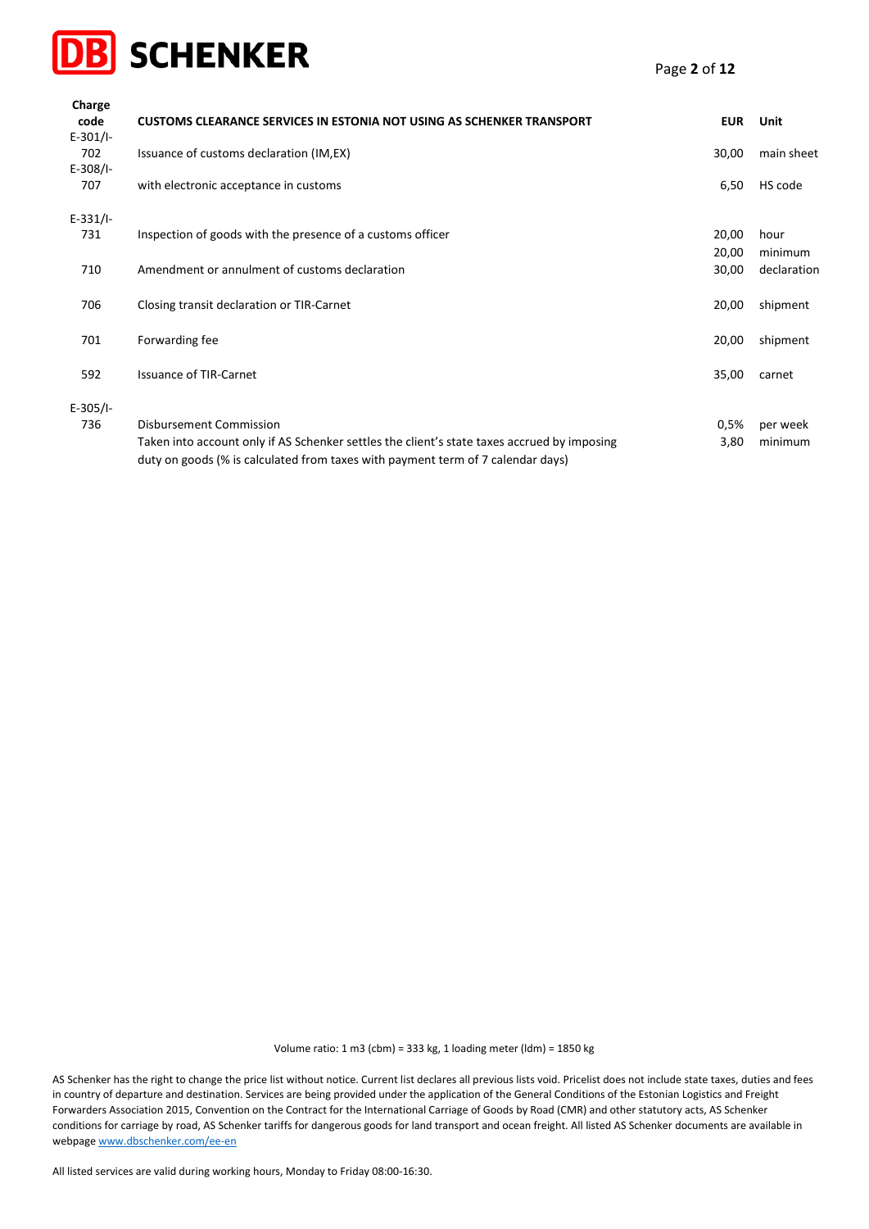

| Charge             |                                                                                             |            |             |
|--------------------|---------------------------------------------------------------------------------------------|------------|-------------|
| code<br>$E-301/1-$ | <b>CUSTOMS CLEARANCE SERVICES IN ESTONIA NOT USING AS SCHENKER TRANSPORT</b>                | <b>EUR</b> | Unit        |
| 702                | Issuance of customs declaration (IM, EX)                                                    | 30,00      | main sheet  |
| $E-308/1-$         |                                                                                             |            |             |
| 707                | with electronic acceptance in customs                                                       | 6,50       | HS code     |
| $E-331/1-$         |                                                                                             |            |             |
| 731                | Inspection of goods with the presence of a customs officer                                  | 20,00      | hour        |
|                    |                                                                                             | 20,00      | minimum     |
| 710                | Amendment or annulment of customs declaration                                               | 30,00      | declaration |
| 706                | Closing transit declaration or TIR-Carnet                                                   | 20,00      | shipment    |
|                    |                                                                                             |            |             |
| 701                | Forwarding fee                                                                              | 20,00      | shipment    |
|                    |                                                                                             |            |             |
| 592                | <b>Issuance of TIR-Carnet</b>                                                               | 35,00      | carnet      |
| $E-305/1-$         |                                                                                             |            |             |
| 736                | Disbursement Commission                                                                     | 0,5%       | per week    |
|                    | Taken into account only if AS Schenker settles the client's state taxes accrued by imposing | 3,80       | minimum     |
|                    | duty on goods (% is calculated from taxes with payment term of 7 calendar days)             |            |             |

AS Schenker has the right to change the price list without notice. Current list declares all previous lists void. Pricelist does not include state taxes, duties and fees in country of departure and destination. Services are being provided under the application of the General Conditions of the Estonian Logistics and Freight Forwarders Association 2015, Convention on the Contract for the International Carriage of Goods by Road (CMR) and other statutory acts, AS Schenker conditions for carriage by road, AS Schenker tariffs for dangerous goods for land transport and ocean freight. All listed AS Schenker documents are available in webpag[e www.dbschenker.com/ee-en](http://www.dbschenker.com/ee-en)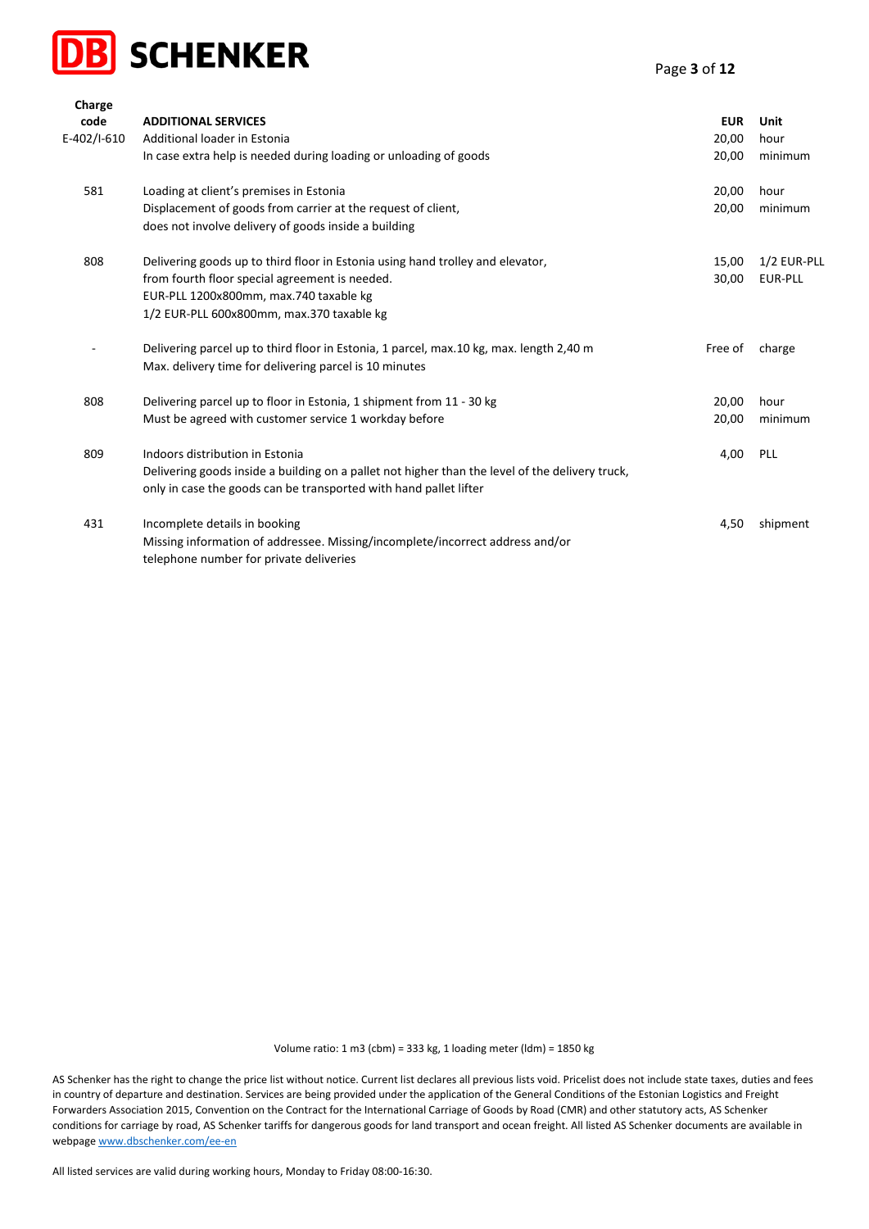

| Charge      |                                                                                                 |            |                |
|-------------|-------------------------------------------------------------------------------------------------|------------|----------------|
| code        | <b>ADDITIONAL SERVICES</b>                                                                      | <b>EUR</b> | Unit           |
| E-402/I-610 | Additional loader in Estonia                                                                    | 20,00      | hour           |
|             | In case extra help is needed during loading or unloading of goods                               | 20,00      | minimum        |
| 581         | Loading at client's premises in Estonia                                                         | 20,00      | hour           |
|             | Displacement of goods from carrier at the request of client,                                    | 20,00      | minimum        |
|             | does not involve delivery of goods inside a building                                            |            |                |
| 808         | Delivering goods up to third floor in Estonia using hand trolley and elevator,                  | 15,00      | 1/2 EUR-PLL    |
|             | from fourth floor special agreement is needed.                                                  | 30,00      | <b>EUR-PLL</b> |
|             | EUR-PLL 1200x800mm, max.740 taxable kg                                                          |            |                |
|             | 1/2 EUR-PLL 600x800mm, max.370 taxable kg                                                       |            |                |
|             | Delivering parcel up to third floor in Estonia, 1 parcel, max.10 kg, max. length 2,40 m         | Free of    | charge         |
|             | Max. delivery time for delivering parcel is 10 minutes                                          |            |                |
| 808         | Delivering parcel up to floor in Estonia, 1 shipment from 11 - 30 kg                            | 20,00      | hour           |
|             | Must be agreed with customer service 1 workday before                                           | 20,00      | minimum        |
| 809         | Indoors distribution in Estonia                                                                 | 4,00       | PLL            |
|             | Delivering goods inside a building on a pallet not higher than the level of the delivery truck, |            |                |
|             | only in case the goods can be transported with hand pallet lifter                               |            |                |
| 431         | Incomplete details in booking                                                                   | 4,50       | shipment       |
|             | Missing information of addressee. Missing/incomplete/incorrect address and/or                   |            |                |
|             | telephone number for private deliveries                                                         |            |                |

AS Schenker has the right to change the price list without notice. Current list declares all previous lists void. Pricelist does not include state taxes, duties and fees in country of departure and destination. Services are being provided under the application of the General Conditions of the Estonian Logistics and Freight Forwarders Association 2015, Convention on the Contract for the International Carriage of Goods by Road (CMR) and other statutory acts, AS Schenker conditions for carriage by road, AS Schenker tariffs for dangerous goods for land transport and ocean freight. All listed AS Schenker documents are available in webpag[e www.dbschenker.com/ee-en](http://www.dbschenker.com/ee-en)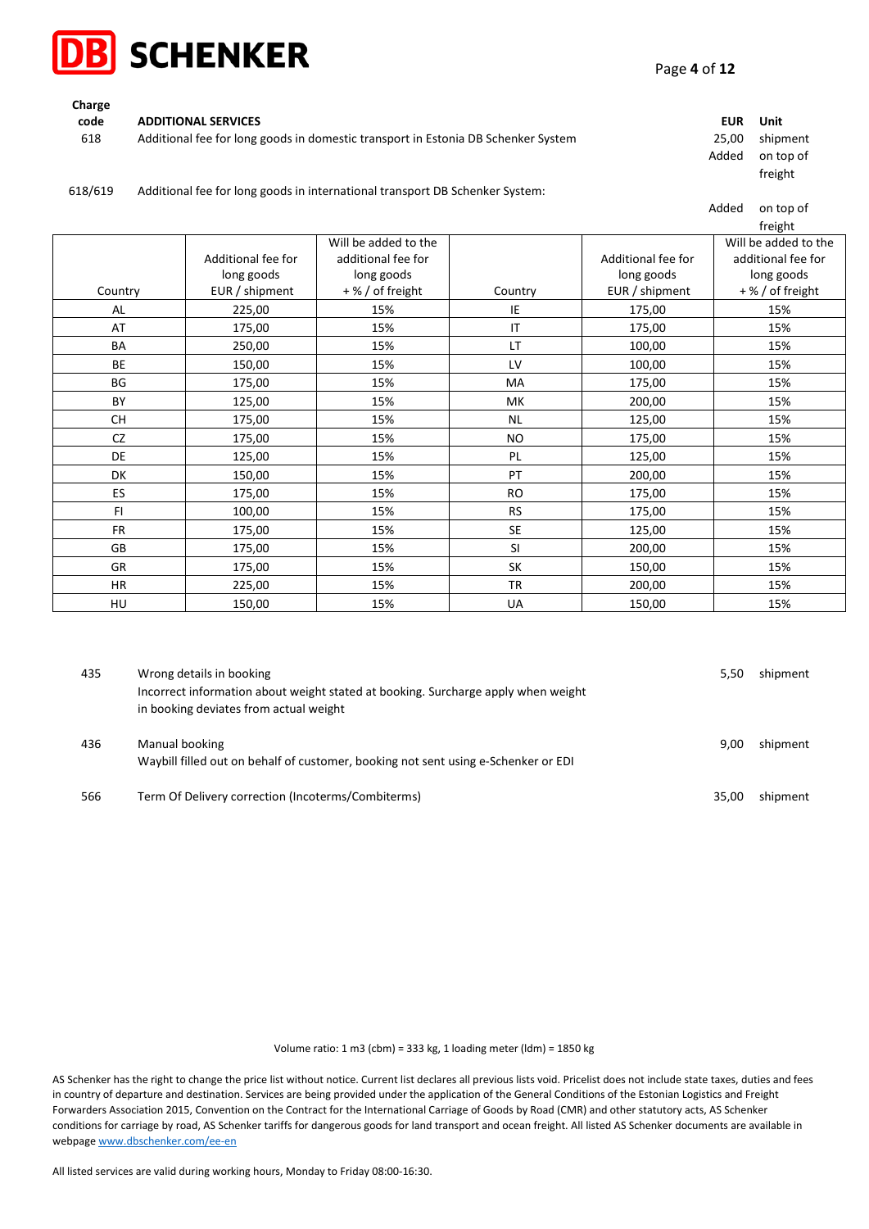

| Charge |                                                                                   |       |           |
|--------|-----------------------------------------------------------------------------------|-------|-----------|
| code   | <b>ADDITIONAL SERVICES</b>                                                        | EUR   | Unit      |
| 618    | Additional fee for long goods in domestic transport in Estonia DB Schenker System | 25.00 | shipment  |
|        |                                                                                   | Added | on top of |
|        |                                                                                   |       | freight   |

#### 618/619 Additional fee for long goods in international transport DB Schenker System:

|           |                    |                      |           |                    | Added<br>on top of   |
|-----------|--------------------|----------------------|-----------|--------------------|----------------------|
|           |                    |                      |           |                    | freight              |
|           |                    | Will be added to the |           |                    | Will be added to the |
|           | Additional fee for | additional fee for   |           | Additional fee for | additional fee for   |
|           | long goods         | long goods           |           | long goods         | long goods           |
| Country   | EUR / shipment     | +% / of freight      | Country   | EUR / shipment     | +% / of freight      |
| AL        | 225,00             | 15%                  | IE        | 175,00             | 15%                  |
| AT        | 175,00             | 15%                  | IT        | 175,00             | 15%                  |
| BA        | 250,00             | 15%                  | LT        | 100,00             | 15%                  |
| <b>BE</b> | 150,00             | 15%                  | LV        | 100,00             | 15%                  |
| BG        | 175,00             | 15%                  | MA        | 175,00             | 15%                  |
| <b>BY</b> | 125,00             | 15%                  | MK        | 200,00             | 15%                  |
| <b>CH</b> | 175,00             | 15%                  | <b>NL</b> | 125,00             | 15%                  |
| CZ        | 175,00             | 15%                  | NO        | 175,00             | 15%                  |
| <b>DE</b> | 125,00             | 15%                  | PL        | 125,00             | 15%                  |
| <b>DK</b> | 150,00             | 15%                  | PT        | 200,00             | 15%                  |
| ES        | 175,00             | 15%                  | <b>RO</b> | 175,00             | 15%                  |
| FI.       | 100,00             | 15%                  | <b>RS</b> | 175,00             | 15%                  |
| <b>FR</b> | 175,00             | 15%                  | <b>SE</b> | 125,00             | 15%                  |
| <b>GB</b> | 175,00             | 15%                  | <b>SI</b> | 200,00             | 15%                  |
| <b>GR</b> | 175,00             | 15%                  | <b>SK</b> | 150,00             | 15%                  |
| <b>HR</b> | 225,00             | 15%                  | <b>TR</b> | 200,00             | 15%                  |
| HU        | 150,00             | 15%                  | UA        | 150,00             | 15%                  |

| 435 | Wrong details in booking<br>Incorrect information about weight stated at booking. Surcharge apply when weight<br>in booking deviates from actual weight | 5.50  | shipment |
|-----|---------------------------------------------------------------------------------------------------------------------------------------------------------|-------|----------|
| 436 | Manual booking<br>Waybill filled out on behalf of customer, booking not sent using e-Schenker or EDI                                                    | 9.00  | shipment |
| 566 | Term Of Delivery correction (Incoterms/Combiterms)                                                                                                      | 35.00 | shipment |

Volume ratio: 1 m3 (cbm) = 333 kg, 1 loading meter (ldm) = 1850 kg

AS Schenker has the right to change the price list without notice. Current list declares all previous lists void. Pricelist does not include state taxes, duties and fees in country of departure and destination. Services are being provided under the application of the General Conditions of the Estonian Logistics and Freight Forwarders Association 2015, Convention on the Contract for the International Carriage of Goods by Road (CMR) and other statutory acts, AS Schenker conditions for carriage by road, AS Schenker tariffs for dangerous goods for land transport and ocean freight. All listed AS Schenker documents are available in webpag[e www.dbschenker.com/ee-en](http://www.dbschenker.com/ee-en)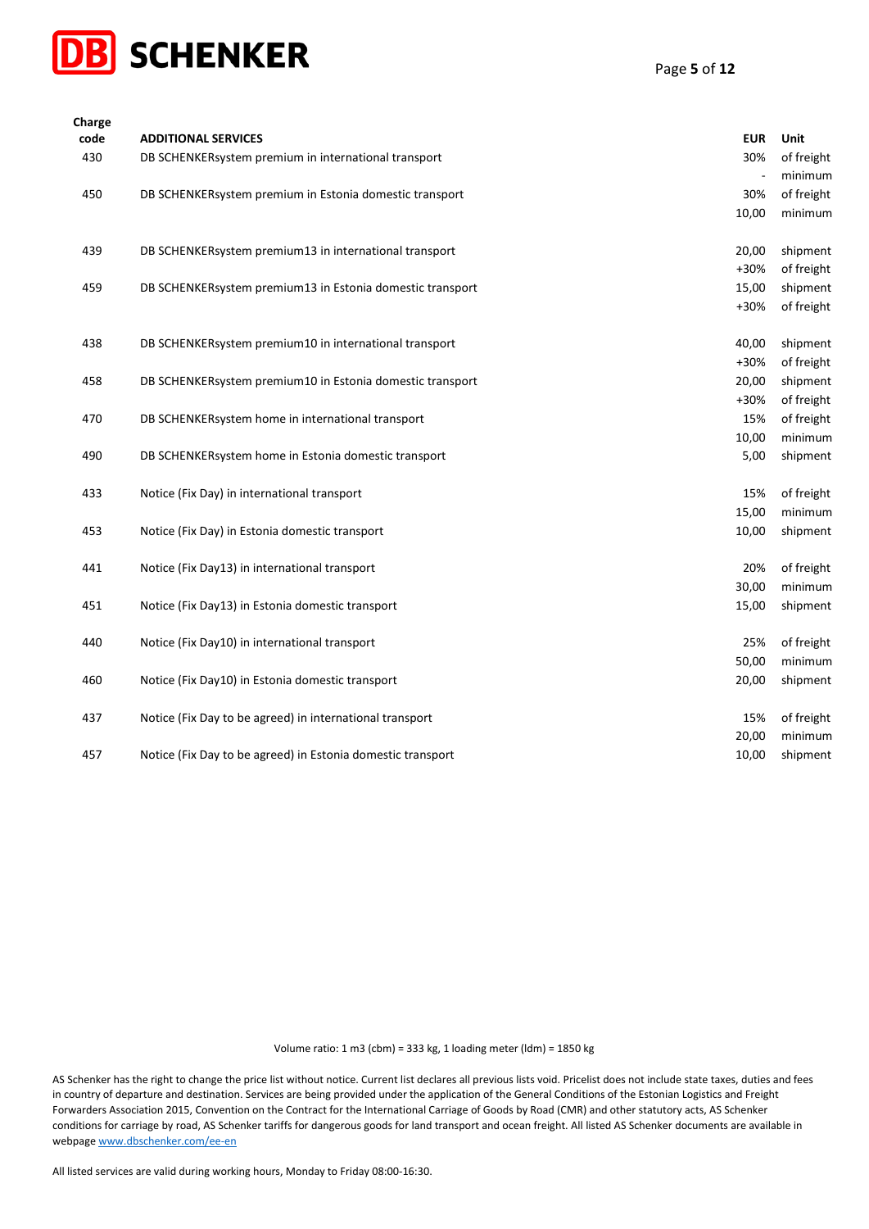

| Charge<br>code | <b>ADDITIONAL SERVICES</b>                                  | <b>EUR</b> | Unit                  |
|----------------|-------------------------------------------------------------|------------|-----------------------|
| 430            | DB SCHENKERsystem premium in international transport        | 30%        | of freight            |
|                |                                                             |            | minimum               |
| 450            | DB SCHENKERsystem premium in Estonia domestic transport     | 30%        | of freight            |
|                |                                                             | 10,00      | minimum               |
|                |                                                             |            |                       |
| 439            | DB SCHENKERsystem premium13 in international transport      | 20,00      | shipment              |
|                |                                                             | +30%       | of freight            |
| 459            | DB SCHENKERsystem premium13 in Estonia domestic transport   | 15,00      | shipment              |
|                |                                                             | +30%       | of freight            |
|                |                                                             |            |                       |
| 438            | DB SCHENKERsystem premium10 in international transport      | 40,00      | shipment              |
|                |                                                             | +30%       | of freight            |
| 458            | DB SCHENKERsystem premium10 in Estonia domestic transport   | 20,00      | shipment              |
|                |                                                             | +30%       | of freight            |
| 470            | DB SCHENKERsystem home in international transport           | 15%        | of freight            |
|                |                                                             | 10,00      | minimum               |
| 490            | DB SCHENKERsystem home in Estonia domestic transport        | 5,00       | shipment              |
|                |                                                             |            |                       |
| 433            | Notice (Fix Day) in international transport                 | 15%        | of freight            |
|                |                                                             | 15,00      | minimum               |
| 453            | Notice (Fix Day) in Estonia domestic transport              | 10,00      | shipment              |
|                | Notice (Fix Day13) in international transport               | 20%        |                       |
| 441            |                                                             | 30,00      | of freight<br>minimum |
| 451            | Notice (Fix Day13) in Estonia domestic transport            | 15,00      | shipment              |
|                |                                                             |            |                       |
| 440            | Notice (Fix Day10) in international transport               | 25%        | of freight            |
|                |                                                             | 50,00      | minimum               |
| 460            | Notice (Fix Day10) in Estonia domestic transport            | 20,00      | shipment              |
|                |                                                             |            |                       |
| 437            | Notice (Fix Day to be agreed) in international transport    | 15%        | of freight            |
|                |                                                             | 20,00      | minimum               |
| 457            | Notice (Fix Day to be agreed) in Estonia domestic transport | 10,00      | shipment              |

AS Schenker has the right to change the price list without notice. Current list declares all previous lists void. Pricelist does not include state taxes, duties and fees in country of departure and destination. Services are being provided under the application of the General Conditions of the Estonian Logistics and Freight Forwarders Association 2015, Convention on the Contract for the International Carriage of Goods by Road (CMR) and other statutory acts, AS Schenker conditions for carriage by road, AS Schenker tariffs for dangerous goods for land transport and ocean freight. All listed AS Schenker documents are available in webpag[e www.dbschenker.com/ee-en](http://www.dbschenker.com/ee-en)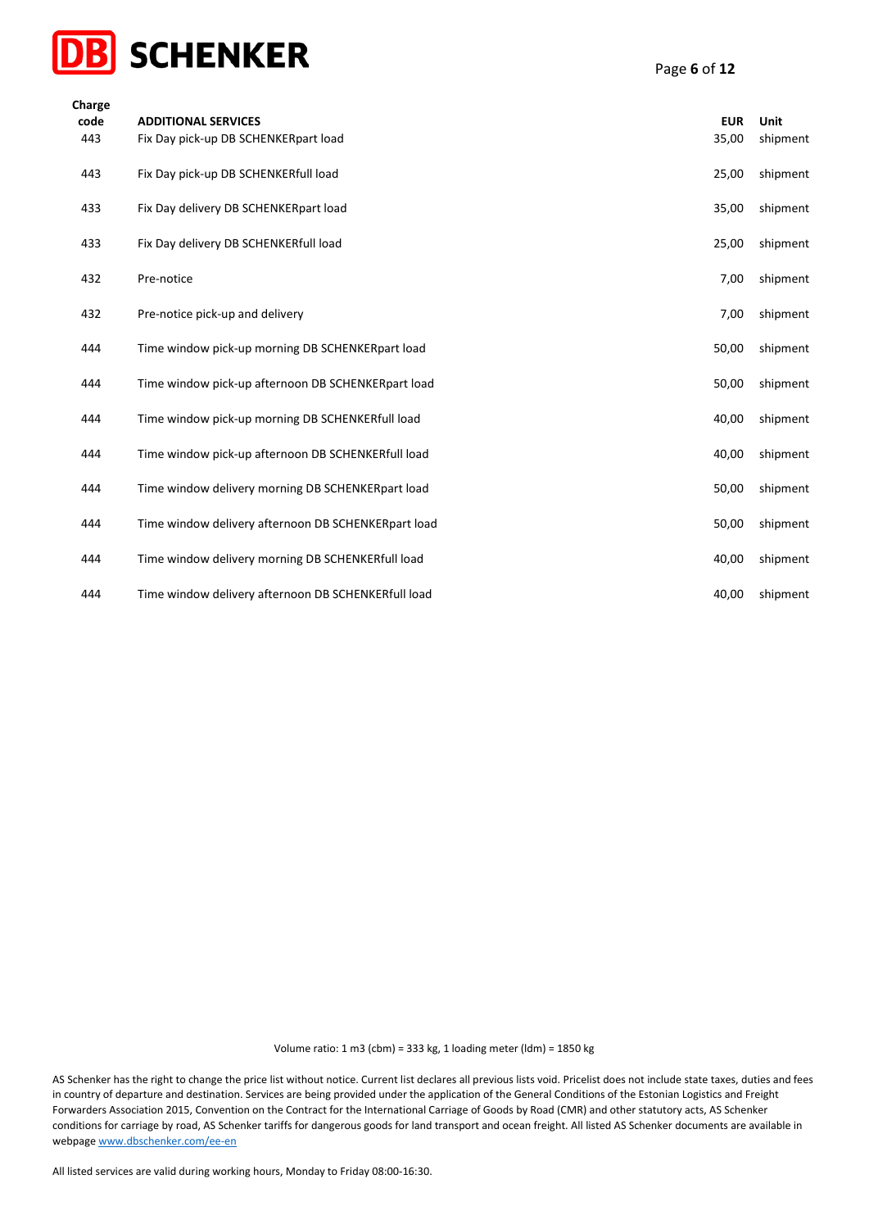

| Charge<br>code<br>443 | <b>ADDITIONAL SERVICES</b><br>Fix Day pick-up DB SCHENKERpart load | <b>EUR</b><br>35,00 | Unit<br>shipment |
|-----------------------|--------------------------------------------------------------------|---------------------|------------------|
| 443                   | Fix Day pick-up DB SCHENKERfull load                               | 25,00               | shipment         |
| 433                   | Fix Day delivery DB SCHENKERpart load                              | 35,00               | shipment         |
| 433                   | Fix Day delivery DB SCHENKERfull load                              | 25,00               | shipment         |
| 432                   | Pre-notice                                                         | 7,00                | shipment         |
| 432                   | Pre-notice pick-up and delivery                                    | 7,00                | shipment         |
| 444                   | Time window pick-up morning DB SCHENKERpart load                   | 50,00               | shipment         |
| 444                   | Time window pick-up afternoon DB SCHENKERpart load                 | 50,00               | shipment         |
| 444                   | Time window pick-up morning DB SCHENKERfull load                   | 40,00               | shipment         |
| 444                   | Time window pick-up afternoon DB SCHENKERfull load                 | 40,00               | shipment         |
| 444                   | Time window delivery morning DB SCHENKERpart load                  | 50,00               | shipment         |
| 444                   | Time window delivery afternoon DB SCHENKERpart load                | 50,00               | shipment         |
| 444                   | Time window delivery morning DB SCHENKERfull load                  | 40,00               | shipment         |
| 444                   | Time window delivery afternoon DB SCHENKERfull load                | 40,00               | shipment         |

AS Schenker has the right to change the price list without notice. Current list declares all previous lists void. Pricelist does not include state taxes, duties and fees in country of departure and destination. Services are being provided under the application of the General Conditions of the Estonian Logistics and Freight Forwarders Association 2015, Convention on the Contract for the International Carriage of Goods by Road (CMR) and other statutory acts, AS Schenker conditions for carriage by road, AS Schenker tariffs for dangerous goods for land transport and ocean freight. All listed AS Schenker documents are available in webpag[e www.dbschenker.com/ee-en](http://www.dbschenker.com/ee-en)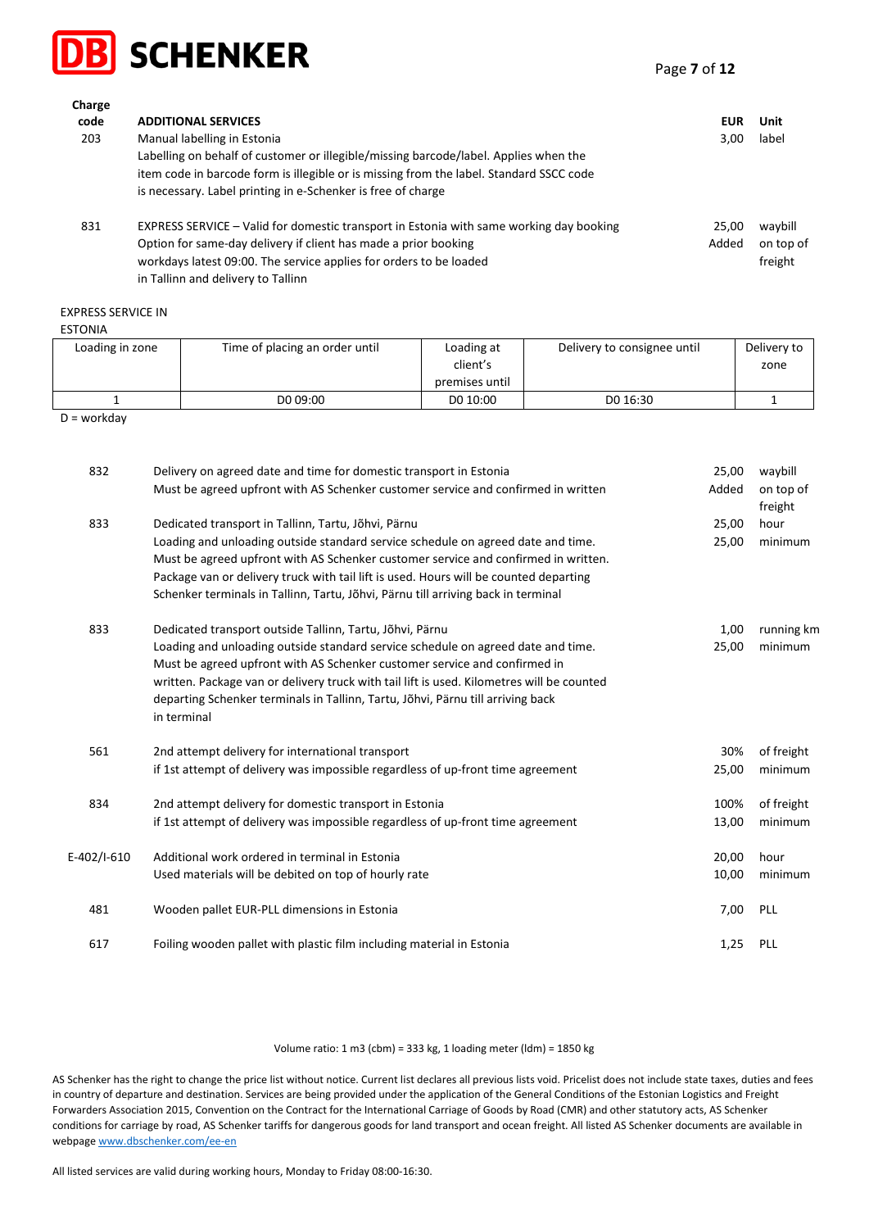

Page **7** of **12**

| ------<br>code<br>203 | <b>ADDITIONAL SERVICES</b><br>Manual labelling in Estonia<br>Labelling on behalf of customer or illegible/missing barcode/label. Applies when the<br>item code in barcode form is illegible or is missing from the label. Standard SSCC code                                                     | EUR<br>3.00    | Unit<br>label                   |
|-----------------------|--------------------------------------------------------------------------------------------------------------------------------------------------------------------------------------------------------------------------------------------------------------------------------------------------|----------------|---------------------------------|
| 831                   | is necessary. Label printing in e-Schenker is free of charge<br>EXPRESS SERVICE – Valid for domestic transport in Estonia with same working day booking<br>Option for same-day delivery if client has made a prior booking<br>workdays latest 09:00. The service applies for orders to be loaded | 25.00<br>Added | waybill<br>on top of<br>freight |

in Tallinn and delivery to Tallinn

## EXPRESS SERVICE IN

**Charge** 

| <b>ESTONIA</b> |  |
|----------------|--|
|                |  |

| Loading in zone | Time of placing an order until | Loading at     | Delivery to consignee until | Delivery to |
|-----------------|--------------------------------|----------------|-----------------------------|-------------|
|                 |                                | client's       |                             | zone        |
|                 |                                | premises until |                             |             |
|                 | DO 09:00                       | DO 10:00       | DO 16:30                    |             |
|                 |                                |                |                             |             |

D = workday

| 832         | Delivery on agreed date and time for domestic transport in Estonia                                                                                                                                                                                                                                                                                           | 25,00 | waybill              |
|-------------|--------------------------------------------------------------------------------------------------------------------------------------------------------------------------------------------------------------------------------------------------------------------------------------------------------------------------------------------------------------|-------|----------------------|
|             | Must be agreed upfront with AS Schenker customer service and confirmed in written                                                                                                                                                                                                                                                                            | Added | on top of<br>freight |
| 833         | Dedicated transport in Tallinn, Tartu, Jõhvi, Pärnu                                                                                                                                                                                                                                                                                                          | 25,00 | hour                 |
|             | Loading and unloading outside standard service schedule on agreed date and time.<br>Must be agreed upfront with AS Schenker customer service and confirmed in written.                                                                                                                                                                                       | 25,00 | minimum              |
|             | Package van or delivery truck with tail lift is used. Hours will be counted departing                                                                                                                                                                                                                                                                        |       |                      |
|             | Schenker terminals in Tallinn, Tartu, Jõhvi, Pärnu till arriving back in terminal                                                                                                                                                                                                                                                                            |       |                      |
| 833         | Dedicated transport outside Tallinn, Tartu, Jõhvi, Pärnu                                                                                                                                                                                                                                                                                                     | 1,00  | running km           |
|             | Loading and unloading outside standard service schedule on agreed date and time.<br>Must be agreed upfront with AS Schenker customer service and confirmed in<br>written. Package van or delivery truck with tail lift is used. Kilometres will be counted<br>departing Schenker terminals in Tallinn, Tartu, Jõhvi, Pärnu till arriving back<br>in terminal | 25,00 | minimum              |
| 561         | 2nd attempt delivery for international transport                                                                                                                                                                                                                                                                                                             | 30%   | of freight           |
|             | if 1st attempt of delivery was impossible regardless of up-front time agreement                                                                                                                                                                                                                                                                              | 25,00 | minimum              |
| 834         | 2nd attempt delivery for domestic transport in Estonia                                                                                                                                                                                                                                                                                                       | 100%  | of freight           |
|             | if 1st attempt of delivery was impossible regardless of up-front time agreement                                                                                                                                                                                                                                                                              | 13,00 | minimum              |
| E-402/I-610 | Additional work ordered in terminal in Estonia                                                                                                                                                                                                                                                                                                               | 20,00 | hour                 |
|             | Used materials will be debited on top of hourly rate                                                                                                                                                                                                                                                                                                         | 10,00 | minimum              |
| 481         | Wooden pallet EUR-PLL dimensions in Estonia                                                                                                                                                                                                                                                                                                                  | 7,00  | PLL                  |
| 617         | Foiling wooden pallet with plastic film including material in Estonia                                                                                                                                                                                                                                                                                        | 1,25  | PLL                  |

Volume ratio: 1 m3 (cbm) = 333 kg, 1 loading meter (ldm) = 1850 kg

AS Schenker has the right to change the price list without notice. Current list declares all previous lists void. Pricelist does not include state taxes, duties and fees in country of departure and destination. Services are being provided under the application of the General Conditions of the Estonian Logistics and Freight Forwarders Association 2015, Convention on the Contract for the International Carriage of Goods by Road (CMR) and other statutory acts, AS Schenker conditions for carriage by road, AS Schenker tariffs for dangerous goods for land transport and ocean freight. All listed AS Schenker documents are available in webpag[e www.dbschenker.com/ee-en](http://www.dbschenker.com/ee-en)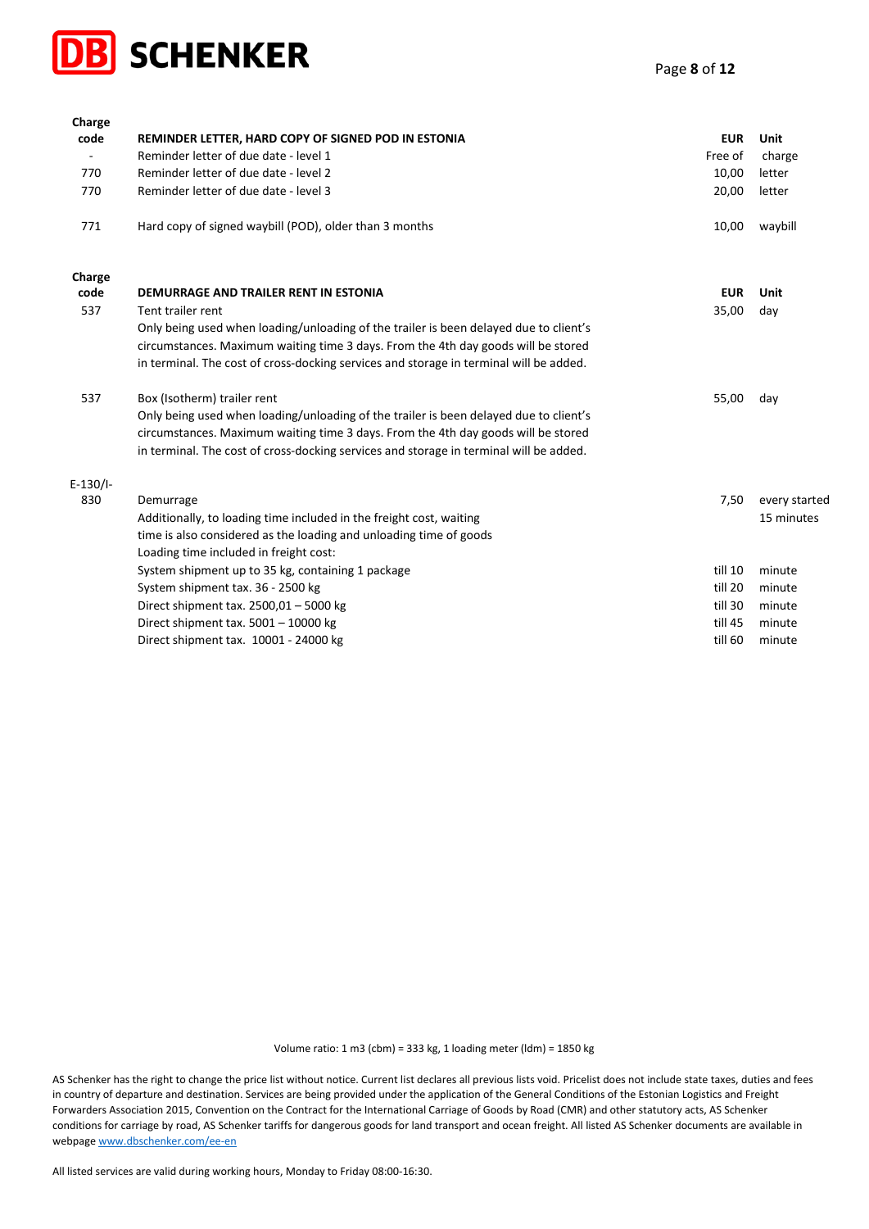

| Charge     |                                                                                        |            |               |
|------------|----------------------------------------------------------------------------------------|------------|---------------|
| code       | REMINDER LETTER, HARD COPY OF SIGNED POD IN ESTONIA                                    | <b>EUR</b> | Unit          |
|            | Reminder letter of due date - level 1                                                  | Free of    | charge        |
| 770        | Reminder letter of due date - level 2                                                  | 10,00      | letter        |
| 770        | Reminder letter of due date - level 3                                                  | 20,00      | letter        |
| 771        | Hard copy of signed waybill (POD), older than 3 months                                 | 10,00      | waybill       |
| Charge     |                                                                                        |            |               |
| code       | DEMURRAGE AND TRAILER RENT IN ESTONIA                                                  | <b>EUR</b> | Unit          |
| 537        | Tent trailer rent                                                                      | 35,00      | day           |
|            | Only being used when loading/unloading of the trailer is been delayed due to client's  |            |               |
|            | circumstances. Maximum waiting time 3 days. From the 4th day goods will be stored      |            |               |
|            | in terminal. The cost of cross-docking services and storage in terminal will be added. |            |               |
| 537        | Box (Isotherm) trailer rent                                                            | 55,00      | day           |
|            | Only being used when loading/unloading of the trailer is been delayed due to client's  |            |               |
|            | circumstances. Maximum waiting time 3 days. From the 4th day goods will be stored      |            |               |
|            | in terminal. The cost of cross-docking services and storage in terminal will be added. |            |               |
| $E-130/1-$ |                                                                                        |            |               |
| 830        | Demurrage                                                                              | 7,50       | every started |
|            | Additionally, to loading time included in the freight cost, waiting                    |            | 15 minutes    |
|            | time is also considered as the loading and unloading time of goods                     |            |               |
|            | Loading time included in freight cost:                                                 |            |               |
|            | System shipment up to 35 kg, containing 1 package                                      | till 10    | minute        |
|            | System shipment tax. 36 - 2500 kg                                                      | till 20    | minute        |
|            | Direct shipment tax. 2500,01 - 5000 kg                                                 | till 30    | minute        |
|            | Direct shipment tax. 5001 - 10000 kg                                                   | till 45    | minute        |
|            | Direct shipment tax. 10001 - 24000 kg                                                  | till 60    | minute        |

AS Schenker has the right to change the price list without notice. Current list declares all previous lists void. Pricelist does not include state taxes, duties and fees in country of departure and destination. Services are being provided under the application of the General Conditions of the Estonian Logistics and Freight Forwarders Association 2015, Convention on the Contract for the International Carriage of Goods by Road (CMR) and other statutory acts, AS Schenker conditions for carriage by road, AS Schenker tariffs for dangerous goods for land transport and ocean freight. All listed AS Schenker documents are available in webpag[e www.dbschenker.com/ee-en](http://www.dbschenker.com/ee-en)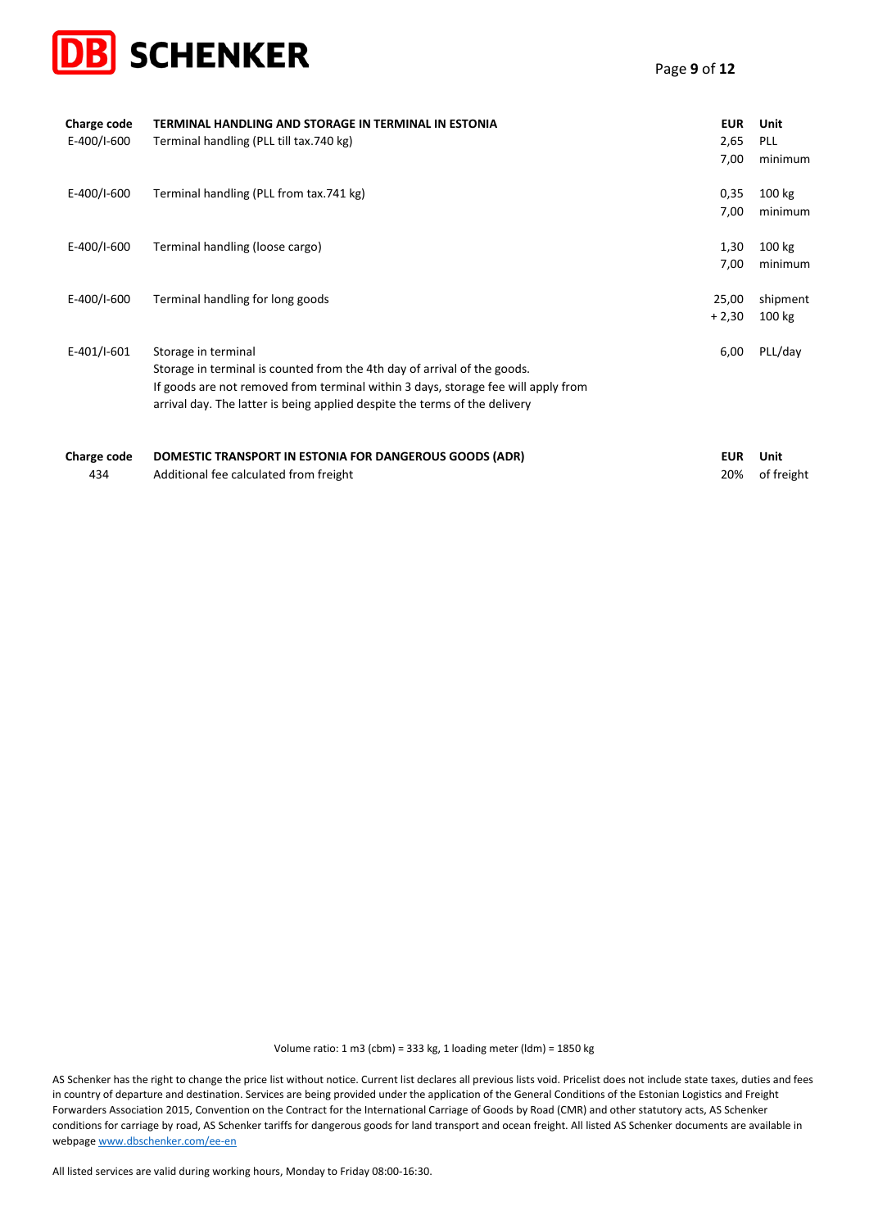

| Charge code<br>E-400/I-600 | TERMINAL HANDLING AND STORAGE IN TERMINAL IN ESTONIA<br>Terminal handling (PLL till tax.740 kg)                                                                                                                                                                    | <b>EUR</b><br>2,65<br>7,00 | Unit<br>PLL<br>minimum |
|----------------------------|--------------------------------------------------------------------------------------------------------------------------------------------------------------------------------------------------------------------------------------------------------------------|----------------------------|------------------------|
| E-400/I-600                | Terminal handling (PLL from tax.741 kg)                                                                                                                                                                                                                            | 0,35<br>7,00               | 100 kg<br>minimum      |
| E-400/I-600                | Terminal handling (loose cargo)                                                                                                                                                                                                                                    | 1,30<br>7,00               | 100 kg<br>minimum      |
| E-400/I-600                | Terminal handling for long goods                                                                                                                                                                                                                                   | 25,00<br>$+2,30$           | shipment<br>100 kg     |
| E-401/I-601                | Storage in terminal<br>Storage in terminal is counted from the 4th day of arrival of the goods.<br>If goods are not removed from terminal within 3 days, storage fee will apply from<br>arrival day. The latter is being applied despite the terms of the delivery | 6,00                       | PLL/day                |
| Charge code<br>434         | <b>DOMESTIC TRANSPORT IN ESTONIA FOR DANGEROUS GOODS (ADR)</b><br>Additional fee calculated from freight                                                                                                                                                           | <b>EUR</b><br>20%          | Unit<br>of freight     |

AS Schenker has the right to change the price list without notice. Current list declares all previous lists void. Pricelist does not include state taxes, duties and fees in country of departure and destination. Services are being provided under the application of the General Conditions of the Estonian Logistics and Freight Forwarders Association 2015, Convention on the Contract for the International Carriage of Goods by Road (CMR) and other statutory acts, AS Schenker conditions for carriage by road, AS Schenker tariffs for dangerous goods for land transport and ocean freight. All listed AS Schenker documents are available in webpag[e www.dbschenker.com/ee-en](http://www.dbschenker.com/ee-en)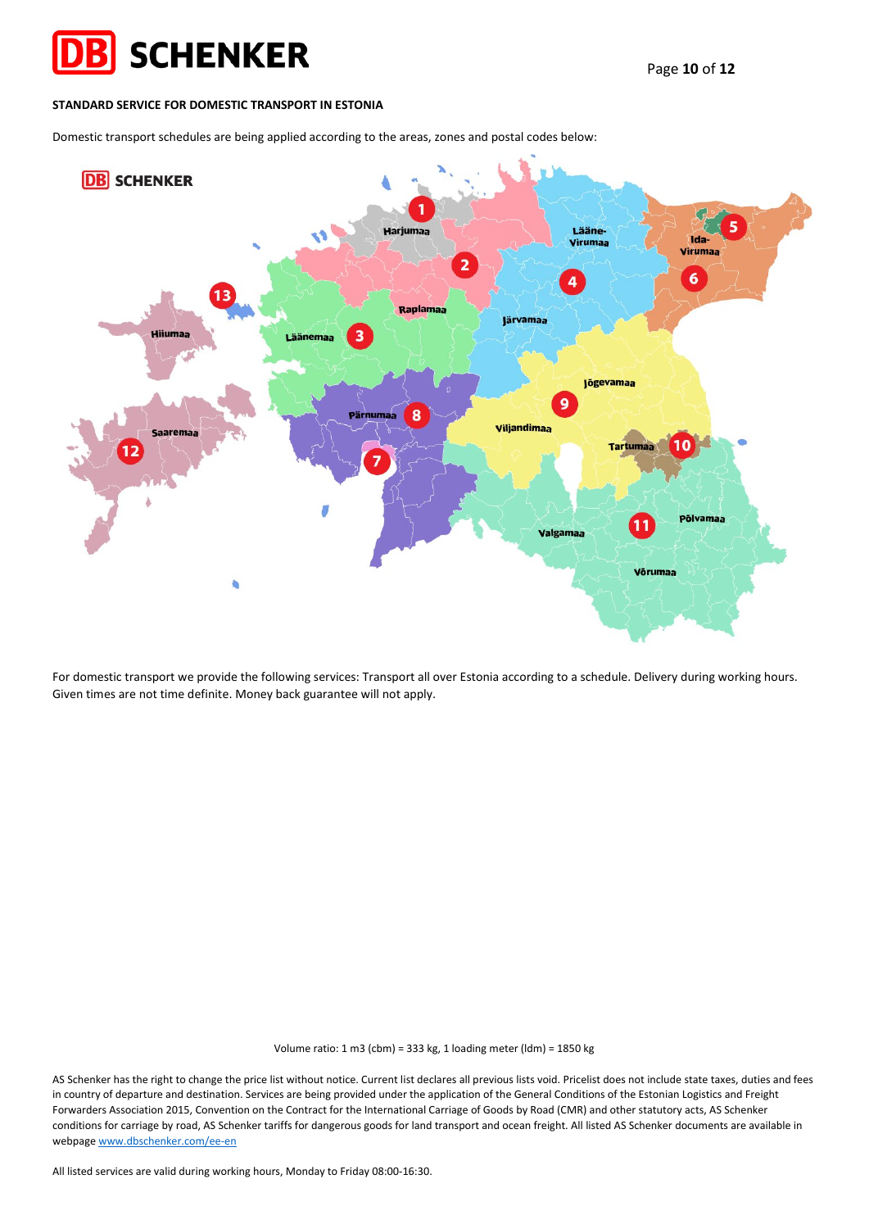

### **STANDARD SERVICE FOR DOMESTIC TRANSPORT IN ESTONIA**

Domestic transport schedules are being applied according to the areas, zones and postal codes below:



For domestic transport we provide the following services: Transport all over Estonia according to a schedule. Delivery during working hours. Given times are not time definite. Money back guarantee will not apply.

Volume ratio: 1 m3 (cbm) = 333 kg, 1 loading meter (ldm) = 1850 kg

AS Schenker has the right to change the price list without notice. Current list declares all previous lists void. Pricelist does not include state taxes, duties and fees in country of departure and destination. Services are being provided under the application of the General Conditions of the Estonian Logistics and Freight Forwarders Association 2015, Convention on the Contract for the International Carriage of Goods by Road (CMR) and other statutory acts, AS Schenker conditions for carriage by road, AS Schenker tariffs for dangerous goods for land transport and ocean freight. All listed AS Schenker documents are available in webpag[e www.dbschenker.com/ee-en](http://www.dbschenker.com/ee-en)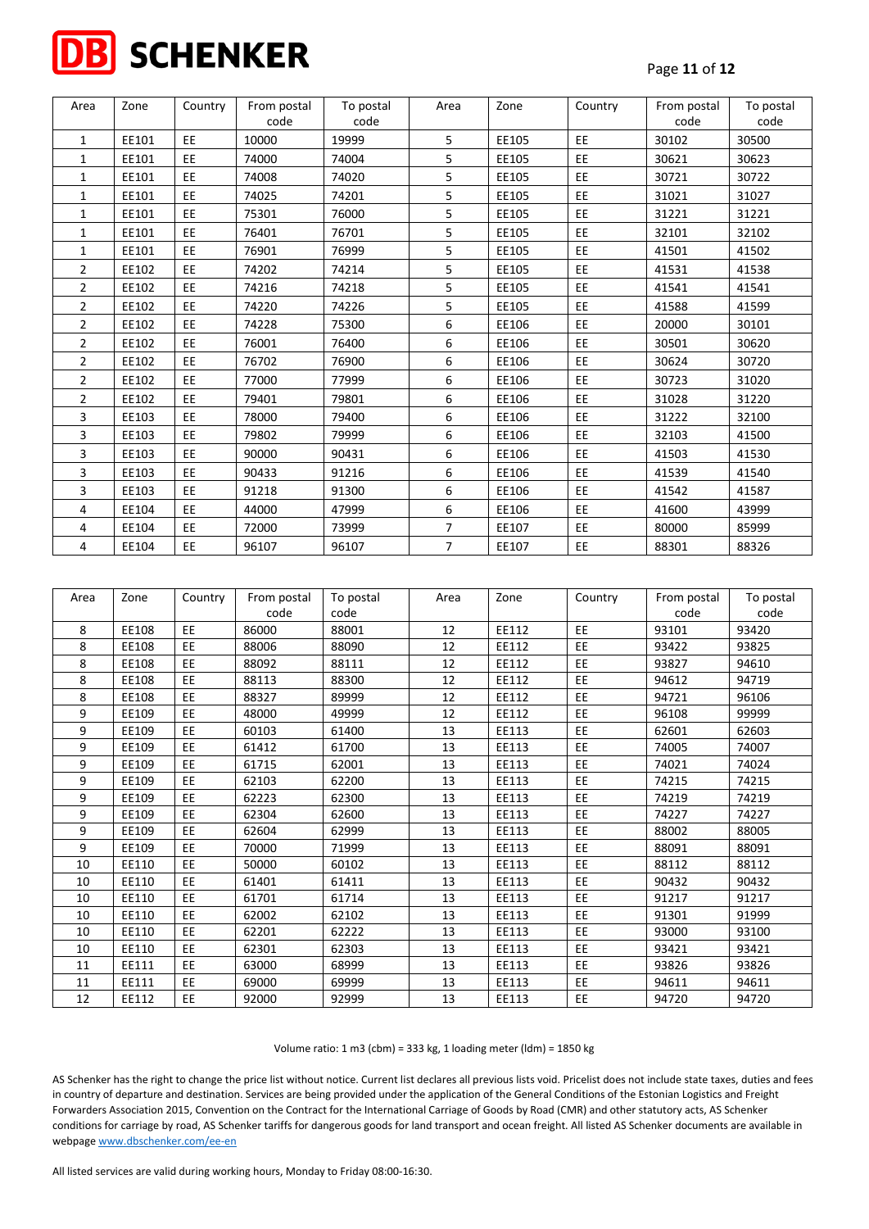

| Area           | Zone  | Country   | From postal | To postal | Area           | Zone  | Country   | From postal | To postal |
|----------------|-------|-----------|-------------|-----------|----------------|-------|-----------|-------------|-----------|
|                |       |           | code        | code      |                |       |           | code        | code      |
| 1              | EE101 | EE.       | 10000       | 19999     | 5              | EE105 | <b>EE</b> | 30102       | 30500     |
| $\mathbf{1}$   | EE101 | <b>EE</b> | 74000       | 74004     | 5              | EE105 | EE.       | 30621       | 30623     |
| 1              | EE101 | EE.       | 74008       | 74020     | 5              | EE105 | EE.       | 30721       | 30722     |
| 1              | EE101 | EE.       | 74025       | 74201     | 5              | EE105 | EE        | 31021       | 31027     |
| 1              | EE101 | EE.       | 75301       | 76000     | 5              | EE105 | <b>EE</b> | 31221       | 31221     |
| $\mathbf{1}$   | EE101 | EE.       | 76401       | 76701     | 5              | EE105 | EE.       | 32101       | 32102     |
| 1              | EE101 | EE        | 76901       | 76999     | 5              | EE105 | EE.       | 41501       | 41502     |
| 2              | EE102 | EE.       | 74202       | 74214     | 5              | EE105 | EE.       | 41531       | 41538     |
| 2              | EE102 | EE.       | 74216       | 74218     | 5              | EE105 | EE.       | 41541       | 41541     |
| $\overline{2}$ | EE102 | EE.       | 74220       | 74226     | 5              | EE105 | EE.       | 41588       | 41599     |
| 2              | EE102 | EE.       | 74228       | 75300     | 6              | EE106 | EE.       | 20000       | 30101     |
| 2              | EE102 | EE.       | 76001       | 76400     | 6              | EE106 | <b>EE</b> | 30501       | 30620     |
| $\overline{2}$ | EE102 | EE.       | 76702       | 76900     | 6              | EE106 | EE.       | 30624       | 30720     |
| $\overline{2}$ | EE102 | EE.       | 77000       | 77999     | 6              | EE106 | EE.       | 30723       | 31020     |
| $\overline{2}$ | EE102 | EE.       | 79401       | 79801     | 6              | EE106 | <b>EE</b> | 31028       | 31220     |
| 3              | EE103 | EE.       | 78000       | 79400     | 6              | EE106 | <b>EE</b> | 31222       | 32100     |
| 3              | EE103 | EE.       | 79802       | 79999     | 6              | EE106 | EE.       | 32103       | 41500     |
| 3              | EE103 | EE.       | 90000       | 90431     | 6              | EE106 | EE.       | 41503       | 41530     |
| 3              | EE103 | EE.       | 90433       | 91216     | 6              | EE106 | EE.       | 41539       | 41540     |
| 3              | EE103 | EE.       | 91218       | 91300     | 6              | EE106 | <b>EE</b> | 41542       | 41587     |
| 4              | EE104 | EE.       | 44000       | 47999     | 6              | EE106 | <b>EE</b> | 41600       | 43999     |
| 4              | EE104 | EE.       | 72000       | 73999     | $\overline{7}$ | EE107 | <b>EE</b> | 80000       | 85999     |
| 4              | EE104 | EE.       | 96107       | 96107     | $\overline{7}$ | EE107 | EE.       | 88301       | 88326     |

| Area | Zone  | Country   | From postal | To postal | Area | Zone  | Country   | From postal | To postal |
|------|-------|-----------|-------------|-----------|------|-------|-----------|-------------|-----------|
|      |       |           | code        | code      |      |       |           | code        | code      |
| 8    | EE108 | <b>EE</b> | 86000       | 88001     | 12   | EE112 | EE        | 93101       | 93420     |
| 8    | EE108 | <b>EE</b> | 88006       | 88090     | 12   | EE112 | EE.       | 93422       | 93825     |
| 8    | EE108 | <b>EE</b> | 88092       | 88111     | 12   | EE112 | EE        | 93827       | 94610     |
| 8    | EE108 | <b>EE</b> | 88113       | 88300     | 12   | EE112 | EE.       | 94612       | 94719     |
| 8    | EE108 | <b>EE</b> | 88327       | 89999     | 12   | EE112 | EE        | 94721       | 96106     |
| 9    | EE109 | <b>EE</b> | 48000       | 49999     | 12   | EE112 | EE        | 96108       | 99999     |
| 9    | EE109 | EE        | 60103       | 61400     | 13   | EE113 | EE        | 62601       | 62603     |
| 9    | EE109 | <b>EE</b> | 61412       | 61700     | 13   | EE113 | EE        | 74005       | 74007     |
| 9    | EE109 | <b>EE</b> | 61715       | 62001     | 13   | EE113 | EE        | 74021       | 74024     |
| 9    | EE109 | EE        | 62103       | 62200     | 13   | EE113 | EE        | 74215       | 74215     |
| 9    | EE109 | <b>EE</b> | 62223       | 62300     | 13   | EE113 | EE        | 74219       | 74219     |
| 9    | EE109 | <b>EE</b> | 62304       | 62600     | 13   | EE113 | <b>EE</b> | 74227       | 74227     |
| 9    | EE109 | <b>EE</b> | 62604       | 62999     | 13   | EE113 | EE        | 88002       | 88005     |
| 9    | EE109 | <b>EE</b> | 70000       | 71999     | 13   | EE113 | EE        | 88091       | 88091     |
| 10   | EE110 | <b>EE</b> | 50000       | 60102     | 13   | EE113 | EE        | 88112       | 88112     |
| 10   | EE110 | <b>EE</b> | 61401       | 61411     | 13   | EE113 | EE        | 90432       | 90432     |
| 10   | EE110 | <b>EE</b> | 61701       | 61714     | 13   | EE113 | EE        | 91217       | 91217     |
| 10   | EE110 | <b>EE</b> | 62002       | 62102     | 13   | EE113 | EE        | 91301       | 91999     |
| 10   | EE110 | <b>EE</b> | 62201       | 62222     | 13   | EE113 | EE        | 93000       | 93100     |
| 10   | EE110 | <b>EE</b> | 62301       | 62303     | 13   | EE113 | EE        | 93421       | 93421     |
| 11   | EE111 | <b>EE</b> | 63000       | 68999     | 13   | EE113 | EE        | 93826       | 93826     |
| 11   | EE111 | <b>EE</b> | 69000       | 69999     | 13   | EE113 | EE        | 94611       | 94611     |
| 12   | EE112 | EE        | 92000       | 92999     | 13   | EE113 | EE        | 94720       | 94720     |

AS Schenker has the right to change the price list without notice. Current list declares all previous lists void. Pricelist does not include state taxes, duties and fees in country of departure and destination. Services are being provided under the application of the General Conditions of the Estonian Logistics and Freight Forwarders Association 2015, Convention on the Contract for the International Carriage of Goods by Road (CMR) and other statutory acts, AS Schenker conditions for carriage by road, AS Schenker tariffs for dangerous goods for land transport and ocean freight. All listed AS Schenker documents are available in webpag[e www.dbschenker.com/ee-en](http://www.dbschenker.com/ee-en)